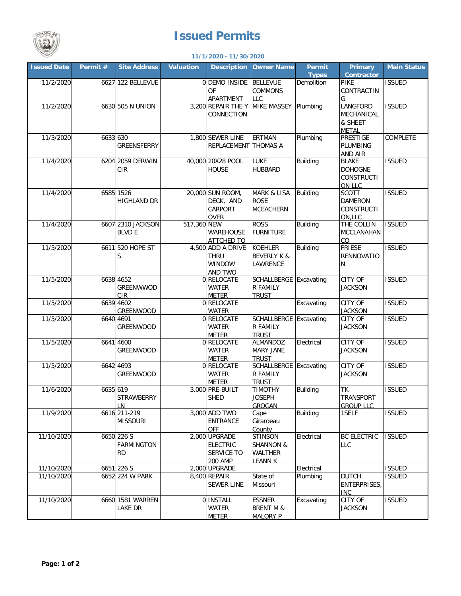

## **Issued Permits**

## **11/1/2020 - 11/30/2020**

| <b>Issued Date</b> | Permit # | <b>Site Address</b> | <b>Valuation</b>  | <b>Description</b>     | <b>Owner Name</b>      | <b>Permit</b>   | <b>Primary</b>       | <b>Main Status</b> |
|--------------------|----------|---------------------|-------------------|------------------------|------------------------|-----------------|----------------------|--------------------|
|                    |          |                     |                   |                        |                        | <b>Types</b>    | <b>Contractor</b>    |                    |
| 11/2/2020          |          | 6627 122 BELLEVUE   |                   | 0 DEMO INSIDE BELLEVUE |                        | Demolition      | PIKE                 | <b>ISSUED</b>      |
|                    |          |                     |                   | OF                     | <b>COMMONS</b>         |                 | CONTRACTIN           |                    |
|                    |          |                     |                   | <b>APARTMENT</b>       | <b>LLC</b>             |                 | G                    |                    |
| 11/2/2020          |          | 6630 505 N UNION    |                   | 3,200 REPAIR THE Y     | MIKE MASSEY Plumbing   |                 | LANGFORD             | <b>ISSUED</b>      |
|                    |          |                     |                   | CONNECTION             |                        |                 | MECHANICAL           |                    |
|                    |          |                     |                   |                        |                        |                 | & SHEET              |                    |
|                    |          |                     |                   |                        |                        |                 | <b>METAL</b>         |                    |
| 11/3/2020          | 6633 630 |                     |                   | 1,800 SEWER LINE       | <b>ERTMAN</b>          | Plumbing        | <b>PRESTIGE</b>      | COMPLETE           |
|                    |          | <b>GREENSFERRY</b>  |                   | REPLACEMENT THOMAS A   |                        |                 | PLUMBING             |                    |
|                    |          |                     |                   |                        |                        |                 | AND AIR              |                    |
| 11/4/2020          |          | 6204 2059 DERWIN    | 40,000 20X28 POOL | LUKE                   | <b>Building</b>        | <b>BLAKE</b>    | <b>ISSUED</b>        |                    |
|                    |          | <b>CIR</b>          |                   | <b>HOUSE</b>           | <b>HUBBARD</b>         |                 | <b>DOHOGNE</b>       |                    |
|                    |          |                     |                   |                        |                        |                 | <b>CONSTRUCTI</b>    |                    |
|                    |          |                     |                   |                        |                        |                 | ON LLC               |                    |
| 11/4/2020          |          | 6585 1526           |                   | 20,000 SUN ROOM,       | <b>MARK &amp; LISA</b> | <b>Building</b> | <b>SCOTT</b>         | <b>ISSUED</b>      |
|                    |          | <b>HIGHLAND DR</b>  |                   | DECK, AND              | <b>ROSE</b>            |                 | <b>DAMERON</b>       |                    |
|                    |          |                     |                   | CARPORT                | <b>MCEACHERN</b>       |                 | <b>CONSTRUCTI</b>    |                    |
|                    |          |                     |                   | <b>OVER</b>            |                        |                 |                      |                    |
| 11/4/2020          |          | 6607 2310 JACKSON   | 517,360 NEW       |                        | <b>ROSS</b>            | <b>Building</b> | ON.LLC<br>THE COLLIN | <b>ISSUED</b>      |
|                    |          |                     |                   |                        |                        |                 |                      |                    |
|                    |          | <b>BLVD E</b>       |                   | WAREHOUSE              | <b>FURNITURE</b>       |                 | MCCLANAHAN           |                    |
|                    |          |                     |                   | <b>ATTCHED TO</b>      |                        |                 | CO                   |                    |
| 11/5/2020          |          | 6611 520 HOPE ST    |                   | 4,500 ADD A DRIVE      | <b>KOEHLER</b>         | <b>Building</b> | <b>FRIESE</b>        | <b>ISSUED</b>      |
|                    |          | S                   |                   | <b>THRU</b>            | <b>BEVERLY K &amp;</b> |                 | <b>RENNOVATIO</b>    |                    |
|                    |          |                     |                   | WINDOW                 | LAWRENCE               |                 | N                    |                    |
|                    |          |                     |                   | AND TWO                |                        |                 |                      |                    |
| 11/5/2020          |          | 6638 4652           |                   | 0 RELOCATE             | SCHALLBERGE Excavating |                 | CITY OF              | <b>ISSUED</b>      |
|                    |          | GREENWWOD           |                   | WATER                  | R FAMILY               |                 | <b>JACKSON</b>       |                    |
|                    |          | <b>CIR</b>          |                   | <b>METER</b>           | <b>TRUST</b>           |                 |                      |                    |
| 11/5/2020          |          | 6639 4602           |                   | 0 RELOCATE             |                        | Excavating      | <b>CITY OF</b>       | <b>ISSUED</b>      |
|                    |          | GREENWOOD           |                   | <b>WATER</b>           |                        |                 | <b>JACKSON</b>       |                    |
| 11/5/2020          |          | 6640 4691           |                   | 0 RELOCATE             | SCHALLBERGE Excavating |                 | <b>CITY OF</b>       | <b>ISSUED</b>      |
|                    |          | GREENWOOD           |                   | <b>WATER</b>           | R FAMILY               |                 | <b>JACKSON</b>       |                    |
|                    |          |                     |                   | <b>METER</b>           | <b>TRUST</b>           |                 |                      |                    |
| 11/5/2020          |          | 6641 4600           |                   | 0 RELOCATE             | ALMANDOZ               | Electrical      | <b>CITY OF</b>       | <b>ISSUED</b>      |
|                    |          | <b>GREENWOOD</b>    |                   | <b>WATER</b>           | <b>MARY JANE</b>       |                 | <b>JACKSON</b>       |                    |
|                    |          |                     |                   | <b>METER</b>           | <b>TRUST</b>           |                 |                      |                    |
| 11/5/2020          |          | 6642 4693           |                   | 0 RELOCATE             | SCHALLBERGE Excavating |                 | CITY OF              | <b>ISSUED</b>      |
|                    |          | <b>GREENWOOD</b>    |                   | <b>WATER</b>           | R FAMILY               |                 | <b>JACKSON</b>       |                    |
|                    |          |                     |                   | <b>METER</b>           | <b>TRUST</b>           |                 |                      |                    |
| 11/6/2020          | 6635 619 |                     |                   | 3,000 PRE-BUILT        | <b>TIMOTHY</b>         | <b>Building</b> | <b>TK</b>            | <b>ISSUED</b>      |
|                    |          | <b>STRAWBERRY</b>   |                   | <b>SHED</b>            | <b>JOSEPH</b>          |                 | <b>TRANSPORT</b>     |                    |
|                    |          | LN                  |                   |                        | GROGAN                 |                 | <b>GROUP LLC</b>     |                    |
| 11/9/2020          |          | 6616 211-219        |                   | 3,000 ADD TWO          | Cape                   | <b>Building</b> | 1SELF                | <b>ISSUED</b>      |
|                    |          | <b>MISSOURI</b>     |                   | <b>ENTRANCE</b>        | Girardeau              |                 |                      |                    |
|                    |          |                     |                   | <b>OFF</b>             | County                 |                 |                      |                    |
| 11/10/2020         |          | 6650 226 S          |                   | 2,000 UPGRADE          | <b>STINSON</b>         | Electrical      | <b>BC ELECTRIC</b>   | <b>ISSUED</b>      |
|                    |          | <b>FARMINGTON</b>   |                   | <b>ELECTRIC</b>        | <b>SHANNON &amp;</b>   |                 | LLC                  |                    |
|                    |          | <b>RD</b>           |                   | SERVICE TO             | WALTHER                |                 |                      |                    |
|                    |          |                     |                   | 200 AMP                | <b>LEANN K</b>         |                 |                      |                    |
| 11/10/2020         |          | 6651 226 S          |                   | 2,000 UPGRADE          |                        | Electrical      |                      | <b>ISSUED</b>      |
| 11/10/2020         |          | 6652 224 W PARK     |                   | 8,400 REPAIR           | State of               | Plumbing        | <b>DUTCH</b>         | <b>ISSUED</b>      |
|                    |          |                     |                   | <b>SEWER LINE</b>      | Missouri               |                 | ENTERPRISES,         |                    |
|                    |          |                     |                   |                        |                        |                 | <b>INC</b>           |                    |
| 11/10/2020         |          | 6660 1581 WARREN    |                   | 0 INSTALL              | <b>ESSNER</b>          | Excavating      | <b>CITY OF</b>       | <b>ISSUED</b>      |
|                    |          | lake Dr             |                   | <b>WATER</b>           | <b>BRENT M &amp;</b>   |                 | <b>JACKSON</b>       |                    |
|                    |          |                     |                   | <b>METER</b>           | <b>MALORY P</b>        |                 |                      |                    |